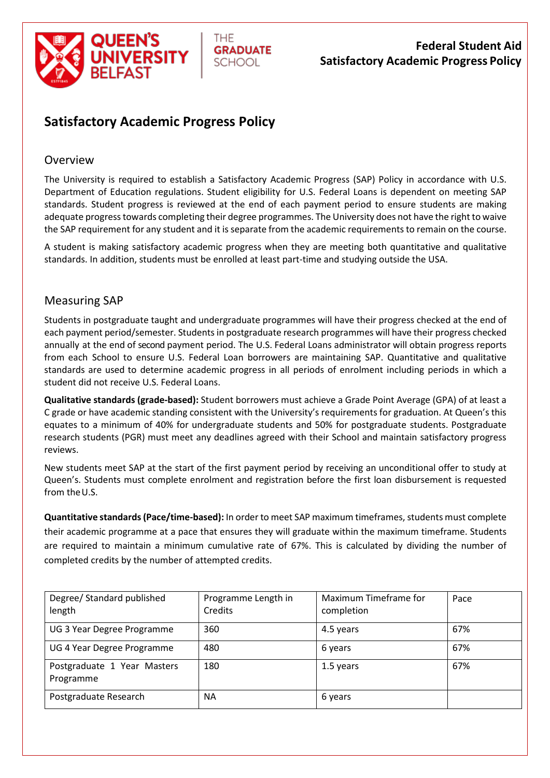



# **Federal Student Aid Satisfactory Academic Progress Policy**

# **Satisfactory Academic Progress Policy**

### Overview

The University is required to establish a Satisfactory Academic Progress (SAP) Policy in accordance with U.S. Department of Education regulations. Student eligibility for U.S. Federal Loans is dependent on meeting SAP standards. Student progress is reviewed at the end of each payment period to ensure students are making adequate progress towards completing their degree programmes. The University does not have the right to waive the SAP requirement for any student and it is separate from the academic requirements to remain on the course.

A student is making satisfactory academic progress when they are meeting both quantitative and qualitative standards. In addition, students must be enrolled at least part-time and studying outside the USA.

### Measuring SAP

Students in postgraduate taught and undergraduate programmes will have their progress checked at the end of each payment period/semester. Students in postgraduate research programmes will have their progress checked annually at the end of second payment period. The U.S. Federal Loans administrator will obtain progress reports from each School to ensure U.S. Federal Loan borrowers are maintaining SAP. Quantitative and qualitative standards are used to determine academic progress in all periods of enrolment including periods in which a student did not receive U.S. Federal Loans.

**Qualitative standards (grade-based):** Student borrowers must achieve a Grade Point Average (GPA) of at least a C grade or have academic standing consistent with the University's requirements for graduation. At Queen's this equates to a minimum of 40% for undergraduate students and 50% for postgraduate students. Postgraduate research students (PGR) must meet any deadlines agreed with their School and maintain satisfactory progress reviews.

New students meet SAP at the start of the first payment period by receiving an unconditional offer to study at Queen's. Students must complete enrolment and registration before the first loan disbursement is requested from theU.S.

**Quantitative standards (Pace/time-based):** In order to meet SAP maximum timeframes, students must complete their academic programme at a pace that ensures they will graduate within the maximum timeframe. Students are required to maintain a minimum cumulative rate of 67%. This is calculated by dividing the number of completed credits by the number of attempted credits.

| Degree/ Standard published<br>length     | Programme Length in<br>Credits | Maximum Timeframe for<br>completion | Pace |
|------------------------------------------|--------------------------------|-------------------------------------|------|
| UG 3 Year Degree Programme               | 360                            | 4.5 years                           | 67%  |
| UG 4 Year Degree Programme               | 480                            | 6 years                             | 67%  |
| Postgraduate 1 Year Masters<br>Programme | 180                            | 1.5 years                           | 67%  |
| Postgraduate Research                    | <b>NA</b>                      | 6 years                             |      |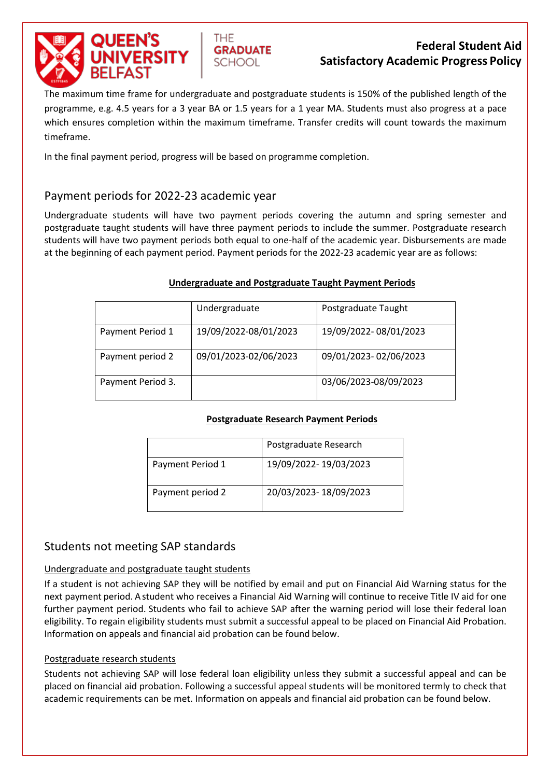



The maximum time frame for undergraduate and postgraduate students is 150% of the published length of the programme, e.g. 4.5 years for a 3 year BA or 1.5 years for a 1 year MA. Students must also progress at a pace which ensures completion within the maximum timeframe. Transfer credits will count towards the maximum timeframe.

In the final payment period, progress will be based on programme completion.

THE.

**GRADUATE** 

SCHOOL

### Payment periods for 2022-23 academic year

Undergraduate students will have two payment periods covering the autumn and spring semester and postgraduate taught students will have three payment periods to include the summer. Postgraduate research students will have two payment periods both equal to one-half of the academic year. Disbursements are made at the beginning of each payment period. Payment periods for the 2022-23 academic year are as follows:

#### **Undergraduate and Postgraduate Taught Payment Periods**

|                   | Undergraduate         | Postgraduate Taught   |
|-------------------|-----------------------|-----------------------|
| Payment Period 1  | 19/09/2022-08/01/2023 | 19/09/2022-08/01/2023 |
| Payment period 2  | 09/01/2023-02/06/2023 | 09/01/2023-02/06/2023 |
| Payment Period 3. |                       | 03/06/2023-08/09/2023 |

#### **Postgraduate Research Payment Periods**

|                  | Postgraduate Research |
|------------------|-----------------------|
| Payment Period 1 | 19/09/2022-19/03/2023 |
| Payment period 2 | 20/03/2023-18/09/2023 |

### Students not meeting SAP standards

#### Undergraduate and postgraduate taught students

If a student is not achieving SAP they will be notified by email and put on Financial Aid Warning status for the next payment period. A student who receives a Financial Aid Warning will continue to receive Title IV aid for one further payment period. Students who fail to achieve SAP after the warning period will lose their federal loan eligibility. To regain eligibility students must submit a successful appeal to be placed on Financial Aid Probation. Information on appeals and financial aid probation can be found below.

#### Postgraduate research students

Students not achieving SAP will lose federal loan eligibility unless they submit a successful appeal and can be placed on financial aid probation. Following a successful appeal students will be monitored termly to check that academic requirements can be met. Information on appeals and financial aid probation can be found below.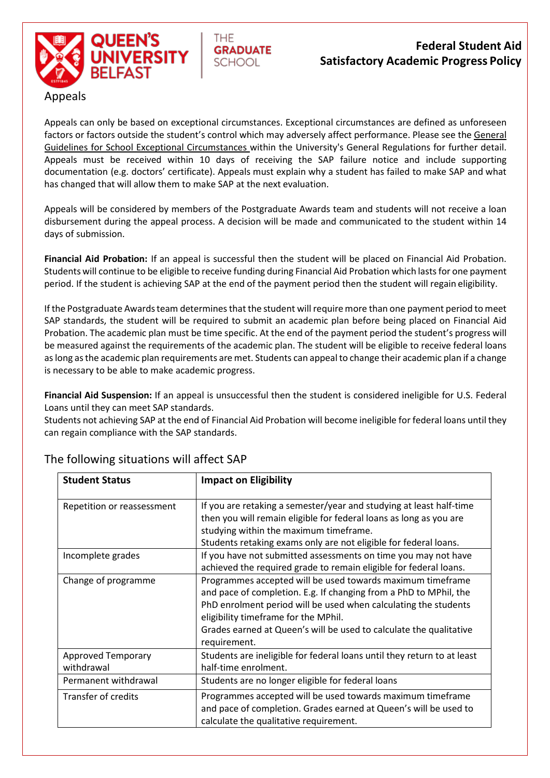

# **Federal Student Aid Satisfactory Academic Progress Policy**

Appeals can only be based on exceptional circumstances. Exceptional circumstances are defined as unforeseen factors or factors outside the student's control which may adversely affect performance. Please see the [General](http://www.qub.ac.uk/directorates/AcademicStudentAffairs/AcademicAffairs/GeneralRegulations/Guidelines/GuidelinesforSchoolsonExceptionalCircumstances/)  [Guidelines](http://www.qub.ac.uk/directorates/AcademicStudentAffairs/AcademicAffairs/GeneralRegulations/Guidelines/GuidelinesforSchoolsonExceptionalCircumstances/) [for School Exceptional Circumstances w](https://www.qub.ac.uk/directorates/AcademicStudentAffairs/AcademicAffairs/ExaminationsandAssessment/ExceptionalCircumstances/GuidelinesforStudents/)ithin the University's General Regulations for further detail. Appeals must be received within 10 days of receiving the SAP failure notice and include supporting documentation (e.g. doctors' certificate). Appeals must explain why a student has failed to make SAP and what has changed that will allow them to make SAP at the next evaluation.

THE.

**GRADUATE** 

SCHOOL

Appeals will be considered by members of the Postgraduate Awards team and students will not receive a loan disbursement during the appeal process. A decision will be made and communicated to the student within 14 days of submission.

**Financial Aid Probation:** If an appeal is successful then the student will be placed on Financial Aid Probation. Students will continue to be eligible to receive funding during Financial Aid Probation which lasts for one payment period. If the student is achieving SAP at the end of the payment period then the student will regain eligibility.

If the Postgraduate Awards team determines that the student will require more than one payment period to meet SAP standards, the student will be required to submit an academic plan before being placed on Financial Aid Probation. The academic plan must be time specific. At the end of the payment period the student's progress will be measured against the requirements of the academic plan. The student will be eligible to receive federal loans as long as the academic plan requirements are met. Students can appeal to change their academic plan if a change is necessary to be able to make academic progress.

**Financial Aid Suspension:** If an appeal is unsuccessful then the student is considered ineligible for U.S. Federal Loans until they can meet SAP standards.

Students not achieving SAP at the end of Financial Aid Probation will become ineligible for federal loans until they can regain compliance with the SAP standards.

| <b>Student Status</b>                   | <b>Impact on Eligibility</b>                                                                                                                                                                                                                                                                                                     |
|-----------------------------------------|----------------------------------------------------------------------------------------------------------------------------------------------------------------------------------------------------------------------------------------------------------------------------------------------------------------------------------|
| Repetition or reassessment              | If you are retaking a semester/year and studying at least half-time<br>then you will remain eligible for federal loans as long as you are                                                                                                                                                                                        |
|                                         | studying within the maximum timeframe.<br>Students retaking exams only are not eligible for federal loans.                                                                                                                                                                                                                       |
| Incomplete grades                       | If you have not submitted assessments on time you may not have<br>achieved the required grade to remain eligible for federal loans.                                                                                                                                                                                              |
| Change of programme                     | Programmes accepted will be used towards maximum timeframe<br>and pace of completion. E.g. If changing from a PhD to MPhil, the<br>PhD enrolment period will be used when calculating the students<br>eligibility timeframe for the MPhil.<br>Grades earned at Queen's will be used to calculate the qualitative<br>requirement. |
| <b>Approved Temporary</b><br>withdrawal | Students are ineligible for federal loans until they return to at least<br>half-time enrolment.                                                                                                                                                                                                                                  |
| Permanent withdrawal                    | Students are no longer eligible for federal loans                                                                                                                                                                                                                                                                                |
| Transfer of credits                     | Programmes accepted will be used towards maximum timeframe<br>and pace of completion. Grades earned at Queen's will be used to<br>calculate the qualitative requirement.                                                                                                                                                         |

# The following situations will affect SAP